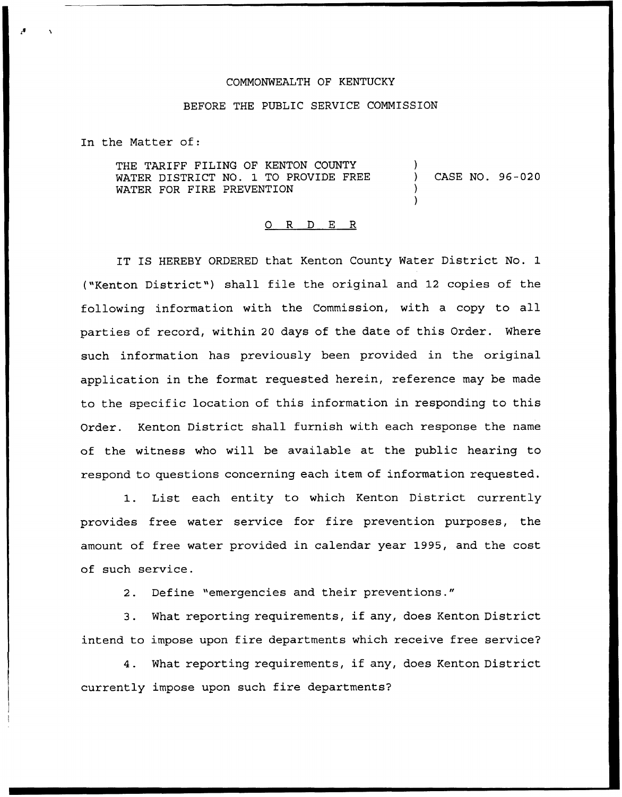## COMMONWEALTH OF KENTUCKY

## BEFORE THE PUBLIC SERVICE COMMISSION

In the Matter of:

THE TARIFF FILING OF KENTON COUNTY WATER DISTRICT NO. 1 TO PROVIDE FREE WATER FOR FIRE PREVENTION ) ) CASE NO. 96-020 )

)

## 0 R <sup>D</sup> E R

IT IS HEREBY ORDERED that Kenton County Water District No. 1 ("Kenton District") shall file the original and 12 copies of the following information with the Commission, with a copy to all parties of record, within <sup>20</sup> days of the date of this Order. Where such information has previously been provided in the original application in the format requested herein, reference may be made to the specific location of this information in responding to this Order. Kenton District shall furnish with each response the name of the witness who will be available at the public hearing to respond to questions concerning each item of information requested.

1. List each entity to which Kenton District currently provides free water service for fire prevention purposes, the amount of free water provided in calendar year 1995, and the cost of such service.

2. Define "emergencies and their preventions."

3. What reporting requirements, if any, does Kenton District intend to impose upon fire departments which receive free service?

4. What reporting requirements, if any, does Kenton District currently impose upon such fire departments?